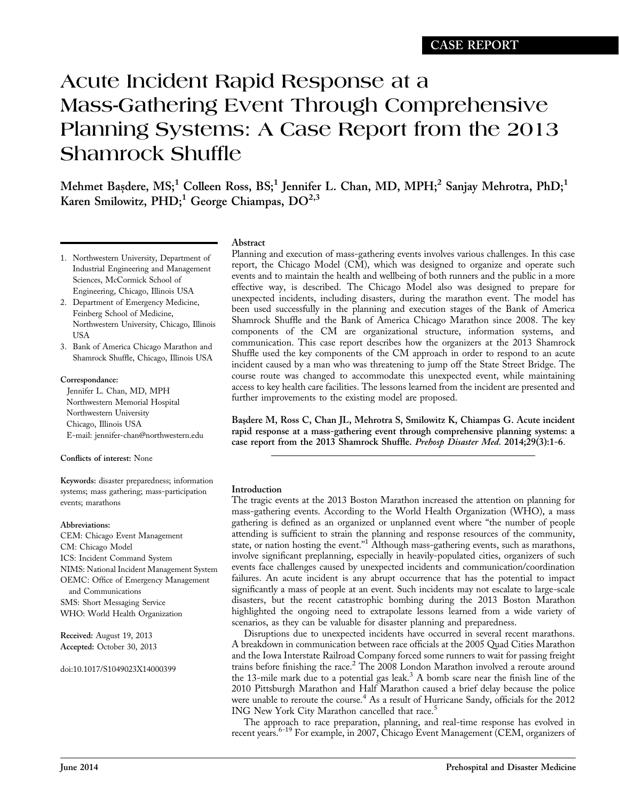# Acute Incident Rapid Response at a Mass-Gathering Event Through Comprehensive Planning Systems: A Case Report from the 2013 Shamrock Shuffle

Mehmet Başdere, MS;<sup>1</sup> Colleen Ross, BS;<sup>1</sup> Jennifer L. Chan, MD, MPH;<sup>2</sup> Sanjay Mehrotra, PhD;<sup>1</sup> Karen Smilowitz,  $PHD$ ;<sup>1</sup> George Chiampas,  $DO<sup>2,3</sup>$ 

- 1. Northwestern University, Department of Industrial Engineering and Management Sciences, McCormick School of Engineering, Chicago, Illinois USA
- 2. Department of Emergency Medicine, Feinberg School of Medicine, Northwestern University, Chicago, Illinois USA
- 3. Bank of America Chicago Marathon and Shamrock Shuffle, Chicago, Illinois USA

## Correspondance:

Jennifer L. Chan, MD, MPH Northwestern Memorial Hospital Northwestern University Chicago, Illinois USA E-mail: jennifer-chan@northwestern.edu

# Conflicts of interest: None

Keywords: disaster preparedness; information systems; mass gathering; mass-participation events; marathons

# Abbreviations:

CEM: Chicago Event Management CM: Chicago Model ICS: Incident Command System NIMS: National Incident Management System OEMC: Office of Emergency Management and Communications SMS: Short Messaging Service WHO: World Health Organization

Received: August 19, 2013 Accepted: October 30, 2013

doi:10.1017/S1049023X14000399

# Abstract

Planning and execution of mass-gathering events involves various challenges. In this case report, the Chicago Model (CM), which was designed to organize and operate such events and to maintain the health and wellbeing of both runners and the public in a more effective way, is described. The Chicago Model also was designed to prepare for unexpected incidents, including disasters, during the marathon event. The model has been used successfully in the planning and execution stages of the Bank of America Shamrock Shuffle and the Bank of America Chicago Marathon since 2008. The key components of the CM are organizational structure, information systems, and communication. This case report describes how the organizers at the 2013 Shamrock Shuffle used the key components of the CM approach in order to respond to an acute incident caused by a man who was threatening to jump off the State Street Bridge. The course route was changed to accommodate this unexpected event, while maintaining access to key health care facilities. The lessons learned from the incident are presented and further improvements to the existing model are proposed.

Basdere M, Ross C, Chan JL, Mehrotra S, Smilowitz K, Chiampas G. Acute incident rapid response at a mass-gathering event through comprehensive planning systems: a case report from the 2013 Shamrock Shuffle. Prehosp Disaster Med. 2014;29(3):1-6.

# Introduction

The tragic events at the 2013 Boston Marathon increased the attention on planning for mass-gathering events. According to the World Health Organization (WHO), a mass gathering is defined as an organized or unplanned event where ''the number of people attending is sufficient to strain the planning and response resources of the community, state, or nation hosting the event."<sup>[1](#page-4-0)</sup> Although mass-gathering events, such as marathons, involve significant preplanning, especially in heavily-populated cities, organizers of such events face challenges caused by unexpected incidents and communication/coordination failures. An acute incident is any abrupt occurrence that has the potential to impact significantly a mass of people at an event. Such incidents may not escalate to large-scale disasters, but the recent catastrophic bombing during the 2013 Boston Marathon highlighted the ongoing need to extrapolate lessons learned from a wide variety of scenarios, as they can be valuable for disaster planning and preparedness.

Disruptions due to unexpected incidents have occurred in several recent marathons. A breakdown in communication between race officials at the 2005 Quad Cities Marathon and the Iowa Interstate Railroad Company forced some runners to wait for passing freight trains before finishing the race.<sup>[2](#page-4-0)</sup> The 2008 London Marathon involved a reroute around the 1[3](#page-4-0)-mile mark due to a potential gas leak.<sup>3</sup> A bomb scare near the finish line of the 2010 Pittsburgh Marathon and Half Marathon caused a brief delay because the police were unable to reroute the course.<sup>[4](#page-4-0)</sup> As a result of Hurricane Sandy, officials for the 2012 ING New York City Marathon cancelled that race.<sup>[5](#page-4-0)</sup>

The approach to race preparation, planning, and real-time response has evolved in recent years.[6-19](#page-5-0) For example, in 2007, Chicago Event Management (CEM, organizers of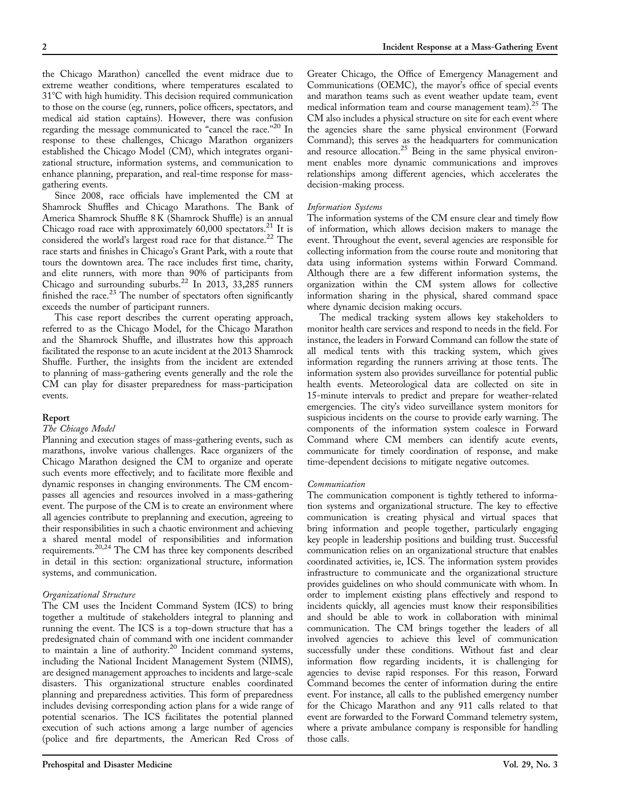the Chicago Marathon) cancelled the event midrace due to extreme weather conditions, where temperatures escalated to  $31^{\circ}$ C with high humidity. This decision required communication to those on the course (eg, runners, police officers, spectators, and medical aid station captains). However, there was confusion regarding the message communicated to "cancel the race."<sup>[20](#page-5-0)</sup> In response to these challenges, Chicago Marathon organizers established the Chicago Model (CM), which integrates organizational structure, information systems, and communication to enhance planning, preparation, and real-time response for massgathering events.

Since 2008, race officials have implemented the CM at Shamrock Shuffles and Chicago Marathons. The Bank of America Shamrock Shuffle 8 K (Shamrock Shuffle) is an annual Chicago road race with approximately  $60,000$  spectators.<sup>[21](#page-5-0)</sup> It is considered the world's largest road race for that distance.<sup>[22](#page-5-0)</sup> The race starts and finishes in Chicago's Grant Park, with a route that tours the downtown area. The race includes first time, charity, and elite runners, with more than 90% of participants from Chicago and surrounding suburbs.<sup>22</sup> In 2013, 33,285 runners finished the race. $^{23}$  $^{23}$  $^{23}$  The number of spectators often significantly exceeds the number of participant runners.

This case report describes the current operating approach, referred to as the Chicago Model, for the Chicago Marathon and the Shamrock Shuffle, and illustrates how this approach facilitated the response to an acute incident at the 2013 Shamrock Shuffle. Further, the insights from the incident are extended to planning of mass-gathering events generally and the role the CM can play for disaster preparedness for mass-participation events.

## Report

## The Chicago Model

Planning and execution stages of mass-gathering events, such as marathons, involve various challenges. Race organizers of the Chicago Marathon designed the CM to organize and operate such events more effectively; and to facilitate more flexible and dynamic responses in changing environments. The CM encompasses all agencies and resources involved in a mass-gathering event. The purpose of the CM is to create an environment where all agencies contribute to preplanning and execution, agreeing to their responsibilities in such a chaotic environment and achieving a shared mental model of responsibilities and information requirements.<sup>[20,24](#page-5-0)</sup> The CM has three key components described in detail in this section: organizational structure, information systems, and communication.

#### Organizational Structure

The CM uses the Incident Command System (ICS) to bring together a multitude of stakeholders integral to planning and running the event. The ICS is a top-down structure that has a predesignated chain of command with one incident commander to maintain a line of authority.[20](#page-5-0) Incident command systems, including the National Incident Management System (NIMS), are designed management approaches to incidents and large-scale disasters. This organizational structure enables coordinated planning and preparedness activities. This form of preparedness includes devising corresponding action plans for a wide range of potential scenarios. The ICS facilitates the potential planned execution of such actions among a large number of agencies (police and fire departments, the American Red Cross of Greater Chicago, the Office of Emergency Management and Communications (OEMC), the mayor's office of special events and marathon teams such as event weather update team, event medical information team and course management team).<sup>[25](#page-5-0)</sup> The CM also includes a physical structure on site for each event where the agencies share the same physical environment (Forward Command); this serves as the headquarters for communication and resource allocation.<sup>[25](#page-5-0)</sup> Being in the same physical environment enables more dynamic communications and improves relationships among different agencies, which accelerates the decision-making process.

#### Information Systems

The information systems of the CM ensure clear and timely flow of information, which allows decision makers to manage the event. Throughout the event, several agencies are responsible for collecting information from the course route and monitoring that data using information systems within Forward Command. Although there are a few different information systems, the organization within the CM system allows for collective information sharing in the physical, shared command space where dynamic decision making occurs.

The medical tracking system allows key stakeholders to monitor health care services and respond to needs in the field. For instance, the leaders in Forward Command can follow the state of all medical tents with this tracking system, which gives information regarding the runners arriving at those tents. The information system also provides surveillance for potential public health events. Meteorological data are collected on site in 15-minute intervals to predict and prepare for weather-related emergencies. The city's video surveillance system monitors for suspicious incidents on the course to provide early warning. The components of the information system coalesce in Forward Command where CM members can identify acute events, communicate for timely coordination of response, and make time-dependent decisions to mitigate negative outcomes.

#### Communication

The communication component is tightly tethered to information systems and organizational structure. The key to effective communication is creating physical and virtual spaces that bring information and people together, particularly engaging key people in leadership positions and building trust. Successful communication relies on an organizational structure that enables coordinated activities, ie, ICS. The information system provides infrastructure to communicate and the organizational structure provides guidelines on who should communicate with whom. In order to implement existing plans effectively and respond to incidents quickly, all agencies must know their responsibilities and should be able to work in collaboration with minimal communication. The CM brings together the leaders of all involved agencies to achieve this level of communication successfully under these conditions. Without fast and clear information flow regarding incidents, it is challenging for agencies to devise rapid responses. For this reason, Forward Command becomes the center of information during the entire event. For instance, all calls to the published emergency number for the Chicago Marathon and any 911 calls related to that event are forwarded to the Forward Command telemetry system, where a private ambulance company is responsible for handling those calls.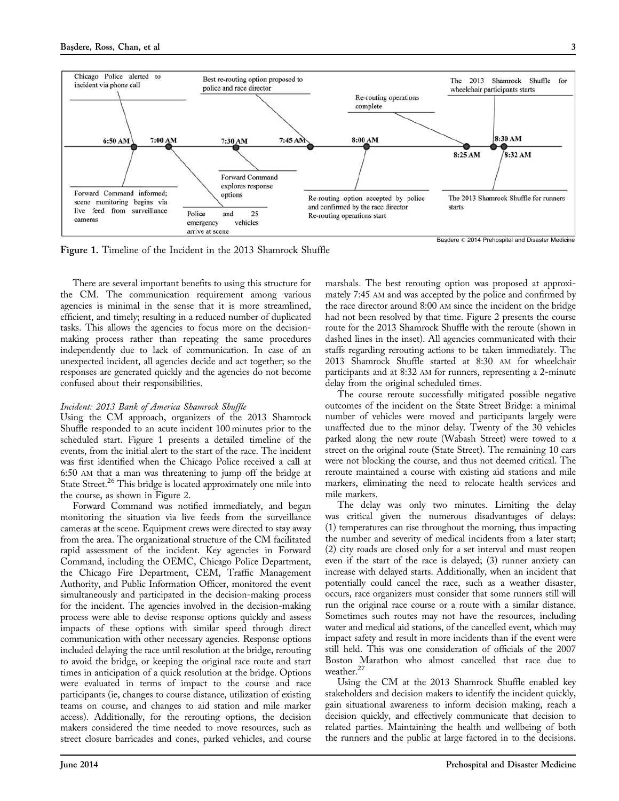

Figure 1. Timeline of the Incident in the 2013 Shamrock Shuffle

There are several important benefits to using this structure for the CM. The communication requirement among various agencies is minimal in the sense that it is more streamlined, efficient, and timely; resulting in a reduced number of duplicated tasks. This allows the agencies to focus more on the decisionmaking process rather than repeating the same procedures independently due to lack of communication. In case of an unexpected incident, all agencies decide and act together; so the responses are generated quickly and the agencies do not become confused about their responsibilities.

## Incident: 2013 Bank of America Shamrock Shuffle

Using the CM approach, organizers of the 2013 Shamrock Shuffle responded to an acute incident 100 minutes prior to the scheduled start. Figure 1 presents a detailed timeline of the events, from the initial alert to the start of the race. The incident was first identified when the Chicago Police received a call at 6:50 AM that a man was threatening to jump off the bridge at State Street.<sup>[26](#page-5-0)</sup> This bridge is located approximately one mile into the course, as shown in [Figure 2](#page-3-0).

Forward Command was notified immediately, and began monitoring the situation via live feeds from the surveillance cameras at the scene. Equipment crews were directed to stay away from the area. The organizational structure of the CM facilitated rapid assessment of the incident. Key agencies in Forward Command, including the OEMC, Chicago Police Department, the Chicago Fire Department, CEM, Traffic Management Authority, and Public Information Officer, monitored the event simultaneously and participated in the decision-making process for the incident. The agencies involved in the decision-making process were able to devise response options quickly and assess impacts of these options with similar speed through direct communication with other necessary agencies. Response options included delaying the race until resolution at the bridge, rerouting to avoid the bridge, or keeping the original race route and start times in anticipation of a quick resolution at the bridge. Options were evaluated in terms of impact to the course and race participants (ie, changes to course distance, utilization of existing teams on course, and changes to aid station and mile marker access). Additionally, for the rerouting options, the decision makers considered the time needed to move resources, such as street closure barricades and cones, parked vehicles, and course

marshals. The best rerouting option was proposed at approximately 7:45 AM and was accepted by the police and confirmed by the race director around 8:00 AM since the incident on the bridge had not been resolved by that time. [Figure 2](#page-3-0) presents the course route for the 2013 Shamrock Shuffle with the reroute (shown in dashed lines in the inset). All agencies communicated with their staffs regarding rerouting actions to be taken immediately. The 2013 Shamrock Shuffle started at 8:30 AM for wheelchair participants and at 8:32 AM for runners, representing a 2-minute delay from the original scheduled times.

The course reroute successfully mitigated possible negative outcomes of the incident on the State Street Bridge: a minimal number of vehicles were moved and participants largely were unaffected due to the minor delay. Twenty of the 30 vehicles parked along the new route (Wabash Street) were towed to a street on the original route (State Street). The remaining 10 cars were not blocking the course, and thus not deemed critical. The reroute maintained a course with existing aid stations and mile markers, eliminating the need to relocate health services and mile markers.

The delay was only two minutes. Limiting the delay was critical given the numerous disadvantages of delays: (1) temperatures can rise throughout the morning, thus impacting the number and severity of medical incidents from a later start; (2) city roads are closed only for a set interval and must reopen even if the start of the race is delayed; (3) runner anxiety can increase with delayed starts. Additionally, when an incident that potentially could cancel the race, such as a weather disaster, occurs, race organizers must consider that some runners still will run the original race course or a route with a similar distance. Sometimes such routes may not have the resources, including water and medical aid stations, of the cancelled event, which may impact safety and result in more incidents than if the event were still held. This was one consideration of officials of the 2007 Boston Marathon who almost cancelled that race due to weather.<sup>[27](#page-5-0)</sup>

Using the CM at the 2013 Shamrock Shuffle enabled key stakeholders and decision makers to identify the incident quickly, gain situational awareness to inform decision making, reach a decision quickly, and effectively communicate that decision to related parties. Maintaining the health and wellbeing of both the runners and the public at large factored in to the decisions.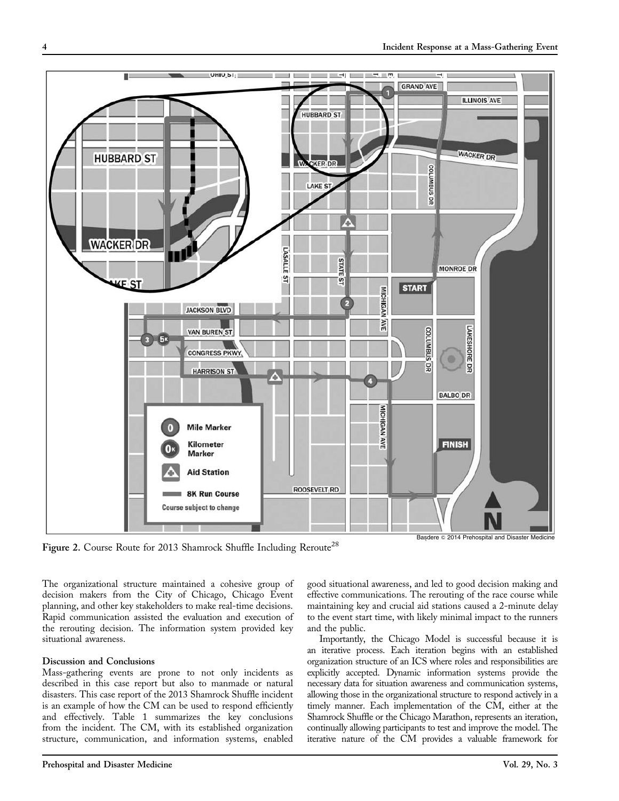<span id="page-3-0"></span>

Figure 2. Course Route for 2013 Shamrock Shuffle Including Reroute<sup>[28](#page-5-0)</sup>

The organizational structure maintained a cohesive group of decision makers from the City of Chicago, Chicago Event planning, and other key stakeholders to make real-time decisions. Rapid communication assisted the evaluation and execution of the rerouting decision. The information system provided key situational awareness.

# Discussion and Conclusions

Mass-gathering events are prone to not only incidents as described in this case report but also to manmade or natural disasters. This case report of the 2013 Shamrock Shuffle incident is an example of how the CM can be used to respond efficiently and effectively. [Table 1](#page-4-0) summarizes the key conclusions from the incident. The CM, with its established organization structure, communication, and information systems, enabled

good situational awareness, and led to good decision making and effective communications. The rerouting of the race course while maintaining key and crucial aid stations caused a 2-minute delay to the event start time, with likely minimal impact to the runners and the public.

Importantly, the Chicago Model is successful because it is an iterative process. Each iteration begins with an established organization structure of an ICS where roles and responsibilities are explicitly accepted. Dynamic information systems provide the necessary data for situation awareness and communication systems, allowing those in the organizational structure to respond actively in a timely manner. Each implementation of the CM, either at the Shamrock Shuffle or the Chicago Marathon, represents an iteration, continually allowing participants to test and improve the model. The iterative nature of the CM provides a valuable framework for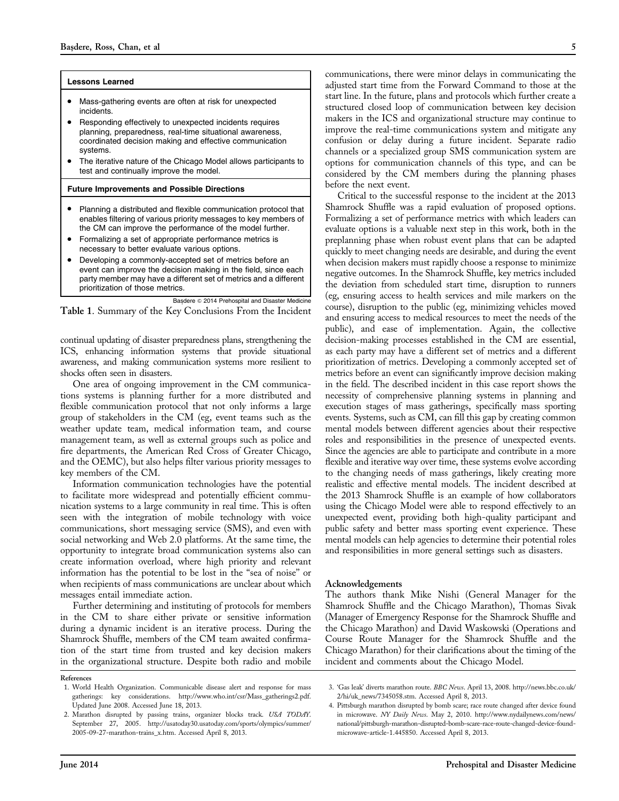## <span id="page-4-0"></span>Lessons Learned

- Mass-gathering events are often at risk for unexpected incidents.
- Responding effectively to unexpected incidents requires planning, preparedness, real-time situational awareness, coordinated decision making and effective communication systems.
- The iterative nature of the Chicago Model allows participants to test and continually improve the model.

#### Future Improvements and Possible Directions

- Planning a distributed and flexible communication protocol that enables filtering of various priority messages to key members of the CM can improve the performance of the model further.
- Formalizing a set of appropriate performance metrics is necessary to better evaluate various options.
- Developing a commonly-accepted set of metrics before an event can improve the decision making in the field, since each party member may have a different set of metrics and a different prioritization of those metrics.

Başdere @ 2014 Prehospital and Disaster Medicine

Table 1. Summary of the Key Conclusions From the Incident

continual updating of disaster preparedness plans, strengthening the ICS, enhancing information systems that provide situational awareness, and making communication systems more resilient to shocks often seen in disasters.

One area of ongoing improvement in the CM communications systems is planning further for a more distributed and flexible communication protocol that not only informs a large group of stakeholders in the CM (eg, event teams such as the weather update team, medical information team, and course management team, as well as external groups such as police and fire departments, the American Red Cross of Greater Chicago, and the OEMC), but also helps filter various priority messages to key members of the CM.

Information communication technologies have the potential to facilitate more widespread and potentially efficient communication systems to a large community in real time. This is often seen with the integration of mobile technology with voice communications, short messaging service (SMS), and even with social networking and Web 2.0 platforms. At the same time, the opportunity to integrate broad communication systems also can create information overload, where high priority and relevant information has the potential to be lost in the ''sea of noise'' or when recipients of mass communications are unclear about which messages entail immediate action.

Further determining and instituting of protocols for members in the CM to share either private or sensitive information during a dynamic incident is an iterative process. During the Shamrock Shuffle, members of the CM team awaited confirmation of the start time from trusted and key decision makers in the organizational structure. Despite both radio and mobile

communications, there were minor delays in communicating the adjusted start time from the Forward Command to those at the start line. In the future, plans and protocols which further create a structured closed loop of communication between key decision makers in the ICS and organizational structure may continue to improve the real-time communications system and mitigate any confusion or delay during a future incident. Separate radio channels or a specialized group SMS communication system are options for communication channels of this type, and can be considered by the CM members during the planning phases before the next event.

Critical to the successful response to the incident at the 2013 Shamrock Shuffle was a rapid evaluation of proposed options. Formalizing a set of performance metrics with which leaders can evaluate options is a valuable next step in this work, both in the preplanning phase when robust event plans that can be adapted quickly to meet changing needs are desirable, and during the event when decision makers must rapidly choose a response to minimize negative outcomes. In the Shamrock Shuffle, key metrics included the deviation from scheduled start time, disruption to runners (eg, ensuring access to health services and mile markers on the course), disruption to the public (eg, minimizing vehicles moved and ensuring access to medical resources to meet the needs of the public), and ease of implementation. Again, the collective decision-making processes established in the CM are essential, as each party may have a different set of metrics and a different prioritization of metrics. Developing a commonly accepted set of metrics before an event can significantly improve decision making in the field. The described incident in this case report shows the necessity of comprehensive planning systems in planning and execution stages of mass gatherings, specifically mass sporting events. Systems, such as CM, can fill this gap by creating common mental models between different agencies about their respective roles and responsibilities in the presence of unexpected events. Since the agencies are able to participate and contribute in a more flexible and iterative way over time, these systems evolve according to the changing needs of mass gatherings, likely creating more realistic and effective mental models. The incident described at the 2013 Shamrock Shuffle is an example of how collaborators using the Chicago Model were able to respond effectively to an unexpected event, providing both high-quality participant and public safety and better mass sporting event experience. These mental models can help agencies to determine their potential roles and responsibilities in more general settings such as disasters.

## Acknowledgements

The authors thank Mike Nishi (General Manager for the Shamrock Shuffle and the Chicago Marathon), Thomas Sivak (Manager of Emergency Response for the Shamrock Shuffle and the Chicago Marathon) and David Waskowski (Operations and Course Route Manager for the Shamrock Shuffle and the Chicago Marathon) for their clarifications about the timing of the incident and comments about the Chicago Model.

3. 'Gas leak' diverts marathon route. BBC News. April 13, 2008. http://news.bbc.co.uk/ 2/hi/uk\_news/7345058.stm. Accessed April 8, 2013.

References

<sup>1.</sup> World Health Organization. Communicable disease alert and response for mass gatherings: key considerations. http://www.who.int/csr/Mass\_gatherings2.pdf. Updated June 2008. Accessed June 18, 2013.

<sup>2.</sup> Marathon disrupted by passing trains, organizer blocks track. USA TODAY. September 27, 2005. http://usatoday30.usatoday.com/sports/olympics/summer/ 2005-09-27-marathon-trains\_x.htm. Accessed April 8, 2013.

<sup>4.</sup> Pittsburgh marathon disrupted by bomb scare; race route changed after device found in microwave. NY Daily News. May 2, 2010. http://www.nydailynews.com/news/ national/pittsburgh-marathon-disrupted-bomb-scare-race-route-changed-device-foundmicrowave-article-1.445850. Accessed April 8, 2013.